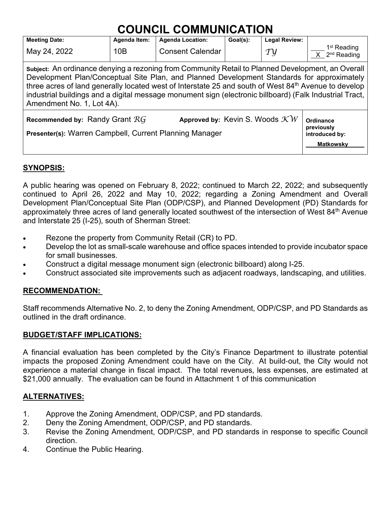| <b>Meeting Date:</b>                                                                                                                                                                                                                                                                                                                                                                                                                                        | <b>Agenda Item:</b>                                           | <b>Agenda Location:</b> | Goal(s): | <b>Legal Review:</b>      |                                                        |  |  |  |
|-------------------------------------------------------------------------------------------------------------------------------------------------------------------------------------------------------------------------------------------------------------------------------------------------------------------------------------------------------------------------------------------------------------------------------------------------------------|---------------------------------------------------------------|-------------------------|----------|---------------------------|--------------------------------------------------------|--|--|--|
| May 24, 2022                                                                                                                                                                                                                                                                                                                                                                                                                                                | 10B                                                           | <b>Consent Calendar</b> |          | $\mathcal{T} \mathcal{Y}$ | 1 <sup>st</sup> Reading<br>$X$ 2 <sup>nd</sup> Reading |  |  |  |
| Subject: An ordinance denying a rezoning from Community Retail to Planned Development, an Overall<br>Development Plan/Conceptual Site Plan, and Planned Development Standards for approximately<br>three acres of land generally located west of Interstate 25 and south of West 84 <sup>th</sup> Avenue to develop<br>industrial buildings and a digital message monument sign (electronic billboard) (Falk Industrial Tract,<br>Amendment No. 1, Lot 4A). |                                                               |                         |          |                           |                                                        |  |  |  |
| Recommended by: Randy Grant $RG$<br>Presenter(s): Warren Campbell, Current Planning Manager                                                                                                                                                                                                                                                                                                                                                                 | Ordinance<br>previously<br>introduced by:<br><b>Matkowsky</b> |                         |          |                           |                                                        |  |  |  |

# **SYNOPSIS:**

A public hearing was opened on February 8, 2022; continued to March 22, 2022; and subsequently continued to April 26, 2022 and May 10, 2022; regarding a Zoning Amendment and Overall Development Plan/Conceptual Site Plan (ODP/CSP), and Planned Development (PD) Standards for approximately three acres of land generally located southwest of the intersection of West 84<sup>th</sup> Avenue and Interstate 25 (I-25), south of Sherman Street:

- Rezone the property from Community Retail (CR) to PD.
- Develop the lot as small-scale warehouse and office spaces intended to provide incubator space for small businesses.
- Construct a digital message monument sign (electronic billboard) along I-25.
- Construct associated site improvements such as adjacent roadways, landscaping, and utilities.

# **RECOMMENDATION:**

Staff recommends Alternative No. 2, to deny the Zoning Amendment, ODP/CSP, and PD Standards as outlined in the draft ordinance.

#### **BUDGET/STAFF IMPLICATIONS:**

A financial evaluation has been completed by the City's Finance Department to illustrate potential impacts the proposed Zoning Amendment could have on the City. At build‐out, the City would not experience a material change in fiscal impact. The total revenues, less expenses, are estimated at \$21,000 annually. The evaluation can be found in Attachment 1 of this communication

# **ALTERNATIVES:**

- 1. Approve the Zoning Amendment, ODP/CSP, and PD standards.
- 2. Deny the Zoning Amendment, ODP/CSP, and PD standards.
- 3. Revise the Zoning Amendment, ODP/CSP, and PD standards in response to specific Council direction.
- 4. Continue the Public Hearing.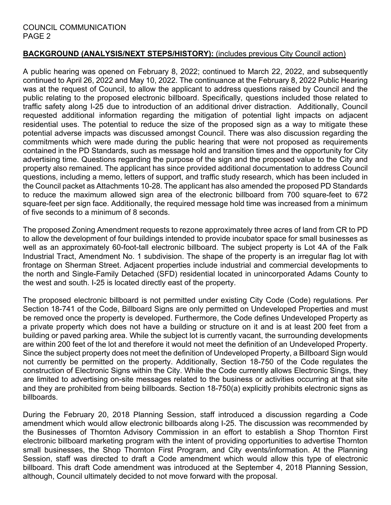# **BACKGROUND (ANALYSIS/NEXT STEPS/HISTORY):** (includes previous City Council action)

A public hearing was opened on February 8, 2022; continued to March 22, 2022, and subsequently continued to April 26, 2022 and May 10, 2022. The continuance at the February 8, 2022 Public Hearing was at the request of Council, to allow the applicant to address questions raised by Council and the public relating to the proposed electronic billboard. Specifically, questions included those related to traffic safety along I-25 due to introduction of an additional driver distraction. Additionally, Council requested additional information regarding the mitigation of potential light impacts on adjacent residential uses. The potential to reduce the size of the proposed sign as a way to mitigate these potential adverse impacts was discussed amongst Council. There was also discussion regarding the commitments which were made during the public hearing that were not proposed as requirements contained in the PD Standards, such as message hold and transition times and the opportunity for City advertising time. Questions regarding the purpose of the sign and the proposed value to the City and property also remained. The applicant has since provided additional documentation to address Council questions, including a memo, letters of support, and traffic study research, which has been included in the Council packet as Attachments 10-28. The applicant has also amended the proposed PD Standards to reduce the maximum allowed sign area of the electronic billboard from 700 square-feet to 672 square-feet per sign face. Additionally, the required message hold time was increased from a minimum of five seconds to a minimum of 8 seconds.

The proposed Zoning Amendment requests to rezone approximately three acres of land from CR to PD to allow the development of four buildings intended to provide incubator space for small businesses as well as an approximately 60-foot-tall electronic billboard. The subject property is Lot 4A of the Falk Industrial Tract, Amendment No. 1 subdivision. The shape of the property is an irregular flag lot with frontage on Sherman Street. Adjacent properties include industrial and commercial developments to the north and Single-Family Detached (SFD) residential located in unincorporated Adams County to the west and south. I-25 is located directly east of the property.

The proposed electronic billboard is not permitted under existing City Code (Code) regulations. Per Section 18-741 of the Code, Billboard Signs are only permitted on Undeveloped Properties and must be removed once the property is developed. Furthermore, the Code defines Undeveloped Property as a private property which does not have a building or structure on it and is at least 200 feet from a building or paved parking area. While the subject lot is currently vacant, the surrounding developments are within 200 feet of the lot and therefore it would not meet the definition of an Undeveloped Property. Since the subject property does not meet the definition of Undeveloped Property, a Billboard Sign would not currently be permitted on the property. Additionally, Section 18-750 of the Code regulates the construction of Electronic Signs within the City. While the Code currently allows Electronic Sings, they are limited to advertising on-site messages related to the business or activities occurring at that site and they are prohibited from being billboards. Section 18-750(a) explicitly prohibits electronic signs as billboards.

During the February 20, 2018 Planning Session, staff introduced a discussion regarding a Code amendment which would allow electronic billboards along I-25. The discussion was recommended by the Businesses of Thornton Advisory Commission in an effort to establish a Shop Thornton First electronic billboard marketing program with the intent of providing opportunities to advertise Thornton small businesses, the Shop Thornton First Program, and City events/information. At the Planning Session, staff was directed to draft a Code amendment which would allow this type of electronic billboard. This draft Code amendment was introduced at the September 4, 2018 Planning Session, although, Council ultimately decided to not move forward with the proposal.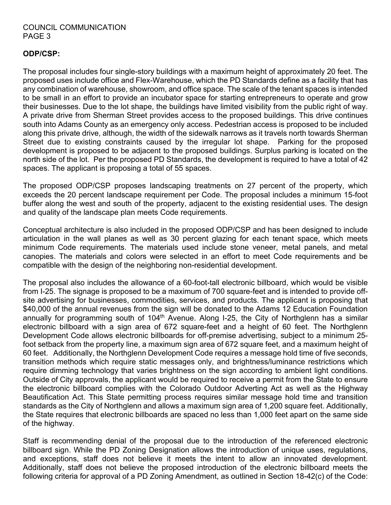#### **ODP/CSP:**

The proposal includes four single-story buildings with a maximum height of approximately 20 feet. The proposed uses include office and Flex-Warehouse, which the PD Standards define as a facility that has any combination of warehouse, showroom, and office space. The scale of the tenant spaces is intended to be small in an effort to provide an incubator space for starting entrepreneurs to operate and grow their businesses. Due to the lot shape, the buildings have limited visibility from the public right of way. A private drive from Sherman Street provides access to the proposed buildings. This drive continues south into Adams County as an emergency only access. Pedestrian access is proposed to be included along this private drive, although, the width of the sidewalk narrows as it travels north towards Sherman Street due to existing constraints caused by the irregular lot shape. Parking for the proposed development is proposed to be adjacent to the proposed buildings. Surplus parking is located on the north side of the lot. Per the proposed PD Standards, the development is required to have a total of 42 spaces. The applicant is proposing a total of 55 spaces.

The proposed ODP/CSP proposes landscaping treatments on 27 percent of the property, which exceeds the 20 percent landscape requirement per Code. The proposal includes a minimum 15-foot buffer along the west and south of the property, adjacent to the existing residential uses. The design and quality of the landscape plan meets Code requirements.

Conceptual architecture is also included in the proposed ODP/CSP and has been designed to include articulation in the wall planes as well as 30 percent glazing for each tenant space, which meets minimum Code requirements. The materials used include stone veneer, metal panels, and metal canopies. The materials and colors were selected in an effort to meet Code requirements and be compatible with the design of the neighboring non-residential development.

The proposal also includes the allowance of a 60-foot-tall electronic billboard, which would be visible from I-25. The signage is proposed to be a maximum of 700 square-feet and is intended to provide offsite advertising for businesses, commodities, services, and products. The applicant is proposing that \$40,000 of the annual revenues from the sign will be donated to the Adams 12 Education Foundation annually for programming south of  $104<sup>th</sup>$  Avenue. Along I-25, the City of Northglenn has a similar electronic billboard with a sign area of 672 square-feet and a height of 60 feet. The Northglenn Development Code allows electronic billboards for off-premise advertising, subject to a minimum 25 foot setback from the property line, a maximum sign area of 672 square feet, and a maximum height of 60 feet. Additionally, the Northglenn Development Code requires a message hold time of five seconds, transition methods which require static messages only, and brightness/luminance restrictions which require dimming technology that varies brightness on the sign according to ambient light conditions. Outside of City approvals, the applicant would be required to receive a permit from the State to ensure the electronic billboard complies with the Colorado Outdoor Adverting Act as well as the Highway Beautification Act. This State permitting process requires similar message hold time and transition standards as the City of Northglenn and allows a maximum sign area of 1,200 square feet. Additionally, the State requires that electronic billboards are spaced no less than 1,000 feet apart on the same side of the highway.

Staff is recommending denial of the proposal due to the introduction of the referenced electronic billboard sign. While the PD Zoning Designation allows the introduction of unique uses, regulations, and exceptions, staff does not believe it meets the intent to allow an innovated development. Additionally, staff does not believe the proposed introduction of the electronic billboard meets the following criteria for approval of a PD Zoning Amendment, as outlined in Section 18-42(c) of the Code: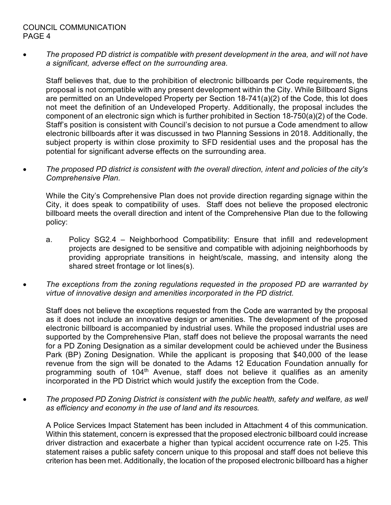• *The proposed PD district is compatible with present development in the area, and will not have a significant, adverse effect on the surrounding area.*

Staff believes that, due to the prohibition of electronic billboards per Code requirements, the proposal is not compatible with any present development within the City. While Billboard Signs are permitted on an Undeveloped Property per Section 18-741(a)(2) of the Code, this lot does not meet the definition of an Undeveloped Property. Additionally, the proposal includes the component of an electronic sign which is further prohibited in Section 18-750(a)(2) of the Code. Staff's position is consistent with Council's decision to not pursue a Code amendment to allow electronic billboards after it was discussed in two Planning Sessions in 2018. Additionally, the subject property is within close proximity to SFD residential uses and the proposal has the potential for significant adverse effects on the surrounding area.

• *The proposed PD district is consistent with the overall direction, intent and policies of the city's Comprehensive Plan.*

While the City's Comprehensive Plan does not provide direction regarding signage within the City, it does speak to compatibility of uses. Staff does not believe the proposed electronic billboard meets the overall direction and intent of the Comprehensive Plan due to the following policy:

- a. Policy SG2.4 Neighborhood Compatibility: Ensure that infill and redevelopment projects are designed to be sensitive and compatible with adjoining neighborhoods by providing appropriate transitions in height/scale, massing, and intensity along the shared street frontage or lot lines(s).
- *The exceptions from the zoning regulations requested in the proposed PD are warranted by virtue of innovative design and amenities incorporated in the PD district.*

Staff does not believe the exceptions requested from the Code are warranted by the proposal as it does not include an innovative design or amenities. The development of the proposed electronic billboard is accompanied by industrial uses. While the proposed industrial uses are supported by the Comprehensive Plan, staff does not believe the proposal warrants the need for a PD Zoning Designation as a similar development could be achieved under the Business Park (BP) Zoning Designation. While the applicant is proposing that \$40,000 of the lease revenue from the sign will be donated to the Adams 12 Education Foundation annually for programming south of 104<sup>th</sup> Avenue, staff does not believe it qualifies as an amenity incorporated in the PD District which would justify the exception from the Code.

• *The proposed PD Zoning District is consistent with the public health, safety and welfare, as well as efficiency and economy in the use of land and its resources.*

A Police Services Impact Statement has been included in Attachment 4 of this communication. Within this statement, concern is expressed that the proposed electronic billboard could increase driver distraction and exacerbate a higher than typical accident occurrence rate on I-25. This statement raises a public safety concern unique to this proposal and staff does not believe this criterion has been met. Additionally, the location of the proposed electronic billboard has a higher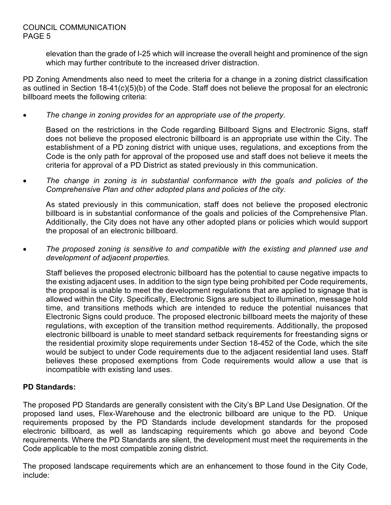elevation than the grade of I-25 which will increase the overall height and prominence of the sign which may further contribute to the increased driver distraction.

PD Zoning Amendments also need to meet the criteria for a change in a zoning district classification as outlined in Section 18-41(c)(5)(b) of the Code. Staff does not believe the proposal for an electronic billboard meets the following criteria:

• *The change in zoning provides for an appropriate use of the property.*

Based on the restrictions in the Code regarding Billboard Signs and Electronic Signs, staff does not believe the proposed electronic billboard is an appropriate use within the City. The establishment of a PD zoning district with unique uses, regulations, and exceptions from the Code is the only path for approval of the proposed use and staff does not believe it meets the criteria for approval of a PD District as stated previously in this communication.

• *The change in zoning is in substantial conformance with the goals and policies of the Comprehensive Plan and other adopted plans and policies of the city.*

As stated previously in this communication, staff does not believe the proposed electronic billboard is in substantial conformance of the goals and policies of the Comprehensive Plan. Additionally, the City does not have any other adopted plans or policies which would support the proposal of an electronic billboard.

• *The proposed zoning is sensitive to and compatible with the existing and planned use and development of adjacent properties.*

Staff believes the proposed electronic billboard has the potential to cause negative impacts to the existing adjacent uses. In addition to the sign type being prohibited per Code requirements, the proposal is unable to meet the development regulations that are applied to signage that is allowed within the City. Specifically, Electronic Signs are subject to illumination, message hold time, and transitions methods which are intended to reduce the potential nuisances that Electronic Signs could produce. The proposed electronic billboard meets the majority of these regulations, with exception of the transition method requirements. Additionally, the proposed electronic billboard is unable to meet standard setback requirements for freestanding signs or the residential proximity slope requirements under Section 18-452 of the Code, which the site would be subject to under Code requirements due to the adjacent residential land uses. Staff believes these proposed exemptions from Code requirements would allow a use that is incompatible with existing land uses.

# **PD Standards:**

The proposed PD Standards are generally consistent with the City's BP Land Use Designation. Of the proposed land uses, Flex-Warehouse and the electronic billboard are unique to the PD. Unique requirements proposed by the PD Standards include development standards for the proposed electronic billboard, as well as landscaping requirements which go above and beyond Code requirements. Where the PD Standards are silent, the development must meet the requirements in the Code applicable to the most compatible zoning district.

The proposed landscape requirements which are an enhancement to those found in the City Code, include: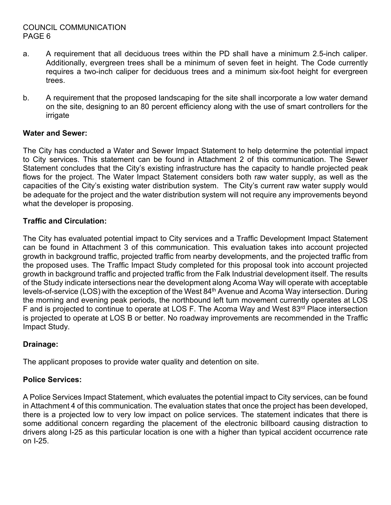- a. A requirement that all deciduous trees within the PD shall have a minimum 2.5-inch caliper. Additionally, evergreen trees shall be a minimum of seven feet in height. The Code currently requires a two-inch caliper for deciduous trees and a minimum six-foot height for evergreen trees.
- b. A requirement that the proposed landscaping for the site shall incorporate a low water demand on the site, designing to an 80 percent efficiency along with the use of smart controllers for the irrigate

# **Water and Sewer:**

The City has conducted a Water and Sewer Impact Statement to help determine the potential impact to City services. This statement can be found in Attachment 2 of this communication. The Sewer Statement concludes that the City's existing infrastructure has the capacity to handle projected peak flows for the project. The Water Impact Statement considers both raw water supply, as well as the capacities of the City's existing water distribution system. The City's current raw water supply would be adequate for the project and the water distribution system will not require any improvements beyond what the developer is proposing.

# **Traffic and Circulation:**

The City has evaluated potential impact to City services and a Traffic Development Impact Statement can be found in Attachment 3 of this communication. This evaluation takes into account projected growth in background traffic, projected traffic from nearby developments, and the projected traffic from the proposed uses. The Traffic Impact Study completed for this proposal took into account projected growth in background traffic and projected traffic from the Falk Industrial development itself. The results of the Study indicate intersections near the development along Acoma Way will operate with acceptable levels-of-service (LOS) with the exception of the West 84<sup>th</sup> Avenue and Acoma Way intersection. During the morning and evening peak periods, the northbound left turn movement currently operates at LOS F and is projected to continue to operate at LOS F. The Acoma Way and West 83<sup>rd</sup> Place intersection is projected to operate at LOS B or better. No roadway improvements are recommended in the Traffic Impact Study.

# **Drainage:**

The applicant proposes to provide water quality and detention on site.

#### **Police Services:**

A Police Services Impact Statement, which evaluates the potential impact to City services, can be found in Attachment 4 of this communication. The evaluation states that once the project has been developed, there is a projected low to very low impact on police services. The statement indicates that there is some additional concern regarding the placement of the electronic billboard causing distraction to drivers along I-25 as this particular location is one with a higher than typical accident occurrence rate on I-25.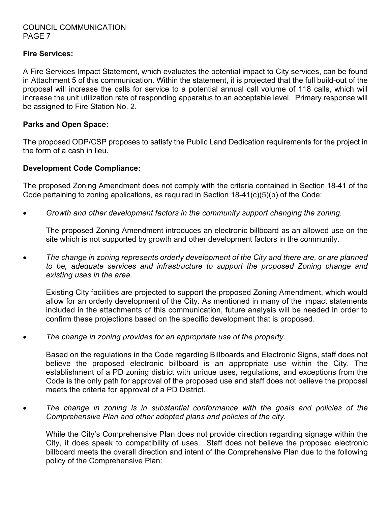#### **Fire Services:**

A Fire Services Impact Statement, which evaluates the potential impact to City services, can be found in Attachment 5 of this communication. Within the statement, it is projected that the full build-out of the proposal will increase the calls for service to a potential annual call volume of 118 calls, which will increase the unit utilization rate of responding apparatus to an acceptable level. Primary response will be assigned to Fire Station No. 2.

#### **Parks and Open Space:**

The proposed ODP/CSP proposes to satisfy the Public Land Dedication requirements for the project in the form of a cash in lieu.

# **Development Code Compliance:**

The proposed Zoning Amendment does not comply with the criteria contained in Section 18-41 of the Code pertaining to zoning applications, as required in Section 18-41(c)(5)(b) of the Code:

• *Growth and other development factors in the community support changing the zoning.*

The proposed Zoning Amendment introduces an electronic billboard as an allowed use on the site which is not supported by growth and other development factors in the community.

• *The change in zoning represents orderly development of the City and there are, or are planned to be, adequate services and infrastructure to support the proposed Zoning change and existing uses in the area.*

Existing City facilities are projected to support the proposed Zoning Amendment, which would allow for an orderly development of the City. As mentioned in many of the impact statements included in the attachments of this communication, future analysis will be needed in order to confirm these projections based on the specific development that is proposed.

• *The change in zoning provides for an appropriate use of the property.*

Based on the regulations in the Code regarding Billboards and Electronic Signs, staff does not believe the proposed electronic billboard is an appropriate use within the City. The establishment of a PD zoning district with unique uses, regulations, and exceptions from the Code is the only path for approval of the proposed use and staff does not believe the proposal meets the criteria for approval of a PD District.

• *The change in zoning is in substantial conformance with the goals and policies of the Comprehensive Plan and other adopted plans and policies of the city.*

While the City's Comprehensive Plan does not provide direction regarding signage within the City, it does speak to compatibility of uses. Staff does not believe the proposed electronic billboard meets the overall direction and intent of the Comprehensive Plan due to the following policy of the Comprehensive Plan: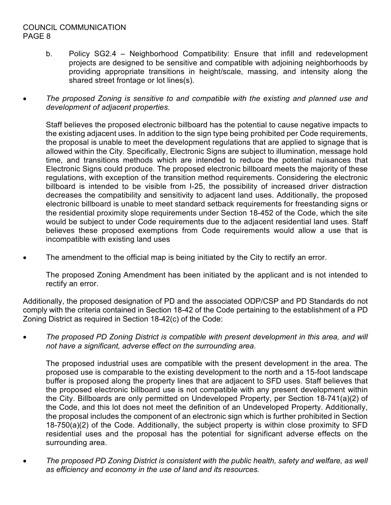- b. Policy SG2.4 Neighborhood Compatibility: Ensure that infill and redevelopment projects are designed to be sensitive and compatible with adjoining neighborhoods by providing appropriate transitions in height/scale, massing, and intensity along the shared street frontage or lot lines(s).
- *The proposed Zoning is sensitive to and compatible with the existing and planned use and development of adjacent properties.*

Staff believes the proposed electronic billboard has the potential to cause negative impacts to the existing adjacent uses. In addition to the sign type being prohibited per Code requirements, the proposal is unable to meet the development regulations that are applied to signage that is allowed within the City. Specifically, Electronic Signs are subject to illumination, message hold time, and transitions methods which are intended to reduce the potential nuisances that Electronic Signs could produce. The proposed electronic billboard meets the majority of these regulations, with exception of the transition method requirements. Considering the electronic billboard is intended to be visible from I-25, the possibility of increased driver distraction decreases the compatibility and sensitivity to adjacent land uses. Additionally, the proposed electronic billboard is unable to meet standard setback requirements for freestanding signs or the residential proximity slope requirements under Section 18-452 of the Code, which the site would be subject to under Code requirements due to the adjacent residential land uses. Staff believes these proposed exemptions from Code requirements would allow a use that is incompatible with existing land uses

The amendment to the official map is being initiated by the City to rectify an error.

The proposed Zoning Amendment has been initiated by the applicant and is not intended to rectify an error.

Additionally, the proposed designation of PD and the associated ODP/CSP and PD Standards do not comply with the criteria contained in Section 18-42 of the Code pertaining to the establishment of a PD Zoning District as required in Section 18-42(c) of the Code:

• *The proposed PD Zoning District is compatible with present development in this area, and will not have a significant, adverse effect on the surrounding area.* 

The proposed industrial uses are compatible with the present development in the area. The proposed use is comparable to the existing development to the north and a 15-foot landscape buffer is proposed along the property lines that are adjacent to SFD uses. Staff believes that the proposed electronic billboard use is not compatible with any present development within the City. Billboards are only permitted on Undeveloped Property, per Section 18-741(a)(2) of the Code, and this lot does not meet the definition of an Undeveloped Property. Additionally, the proposal includes the component of an electronic sign which is further prohibited in Section 18-750(a)(2) of the Code. Additionally, the subject property is within close proximity to SFD residential uses and the proposal has the potential for significant adverse effects on the surrounding area.

• *The proposed PD Zoning District is consistent with the public health, safety and welfare, as well as efficiency and economy in the use of land and its resources.*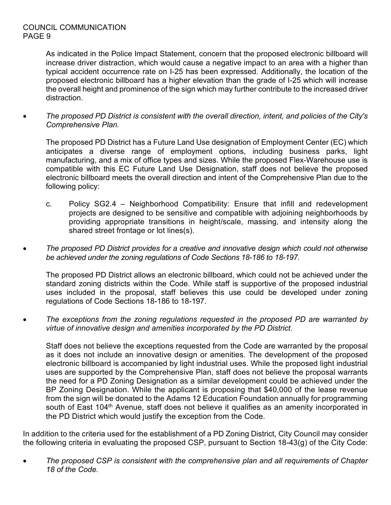As indicated in the Police Impact Statement, concern that the proposed electronic billboard will increase driver distraction, which would cause a negative impact to an area with a higher than typical accident occurrence rate on I-25 has been expressed. Additionally, the location of the proposed electronic billboard has a higher elevation than the grade of I-25 which will increase the overall height and prominence of the sign which may further contribute to the increased driver distraction.

• *The proposed PD District is consistent with the overall direction, intent, and policies of the City's Comprehensive Plan.*

The proposed PD District has a Future Land Use designation of Employment Center (EC) which anticipates a diverse range of employment options, including business parks, light manufacturing, and a mix of office types and sizes. While the proposed Flex-Warehouse use is compatible with this EC Future Land Use Designation, staff does not believe the proposed electronic billboard meets the overall direction and intent of the Comprehensive Plan due to the following policy:

- c. Policy SG2.4 Neighborhood Compatibility: Ensure that infill and redevelopment projects are designed to be sensitive and compatible with adjoining neighborhoods by providing appropriate transitions in height/scale, massing, and intensity along the shared street frontage or lot lines(s).
- *The proposed PD District provides for a creative and innovative design which could not otherwise be achieved under the zoning regulations of Code Sections 18-186 to 18-197.*

The proposed PD District allows an electronic billboard, which could not be achieved under the standard zoning districts within the Code. While staff is supportive of the proposed industrial uses included in the proposal, staff believes this use could be developed under zoning regulations of Code Sections 18-186 to 18-197.

• *The exceptions from the zoning regulations requested in the proposed PD are warranted by virtue of innovative design and amenities incorporated by the PD District*.

Staff does not believe the exceptions requested from the Code are warranted by the proposal as it does not include an innovative design or amenities. The development of the proposed electronic billboard is accompanied by light industrial uses. While the proposed light industrial uses are supported by the Comprehensive Plan, staff does not believe the proposal warrants the need for a PD Zoning Designation as a similar development could be achieved under the BP Zoning Designation. While the applicant is proposing that \$40,000 of the lease revenue from the sign will be donated to the Adams 12 Education Foundation annually for programming south of East 104<sup>th</sup> Avenue, staff does not believe it qualifies as an amenity incorporated in the PD District which would justify the exception from the Code.

In addition to the criteria used for the establishment of a PD Zoning District, City Council may consider the following criteria in evaluating the proposed CSP, pursuant to Section 18-43(g) of the City Code:

• *The proposed CSP is consistent with the comprehensive plan and all requirements of Chapter 18 of the Code.*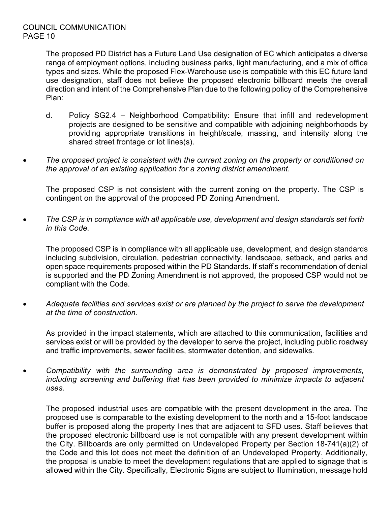The proposed PD District has a Future Land Use designation of EC which anticipates a diverse range of employment options, including business parks, light manufacturing, and a mix of office types and sizes. While the proposed Flex-Warehouse use is compatible with this EC future land use designation, staff does not believe the proposed electronic billboard meets the overall direction and intent of the Comprehensive Plan due to the following policy of the Comprehensive Plan:

- d. Policy SG2.4 Neighborhood Compatibility: Ensure that infill and redevelopment projects are designed to be sensitive and compatible with adjoining neighborhoods by providing appropriate transitions in height/scale, massing, and intensity along the shared street frontage or lot lines(s).
- *The proposed project is consistent with the current zoning on the property or conditioned on the approval of an existing application for a zoning district amendment.*

The proposed CSP is not consistent with the current zoning on the property. The CSP is contingent on the approval of the proposed PD Zoning Amendment.

• *The CSP is in compliance with all applicable use, development and design standards set forth in this Code.*

The proposed CSP is in compliance with all applicable use, development, and design standards including subdivision, circulation, pedestrian connectivity, landscape, setback, and parks and open space requirements proposed within the PD Standards. If staff's recommendation of denial is supported and the PD Zoning Amendment is not approved, the proposed CSP would not be compliant with the Code.

• *Adequate facilities and services exist or are planned by the project to serve the development at the time of construction.*

As provided in the impact statements, which are attached to this communication, facilities and services exist or will be provided by the developer to serve the project, including public roadway and traffic improvements, sewer facilities, stormwater detention, and sidewalks.

• *Compatibility with the surrounding area is demonstrated by proposed improvements, including screening and buffering that has been provided to minimize impacts to adjacent uses.*

The proposed industrial uses are compatible with the present development in the area. The proposed use is comparable to the existing development to the north and a 15-foot landscape buffer is proposed along the property lines that are adjacent to SFD uses. Staff believes that the proposed electronic billboard use is not compatible with any present development within the City. Billboards are only permitted on Undeveloped Property per Section 18-741(a)(2) of the Code and this lot does not meet the definition of an Undeveloped Property. Additionally, the proposal is unable to meet the development regulations that are applied to signage that is allowed within the City. Specifically, Electronic Signs are subject to illumination, message hold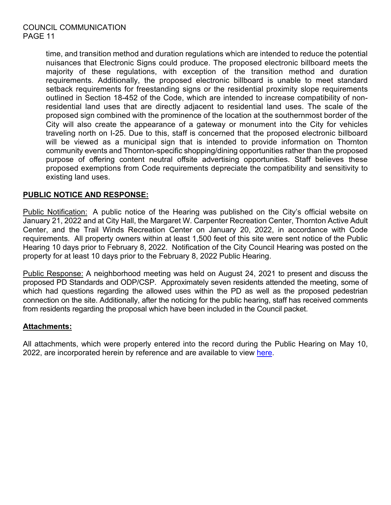time, and transition method and duration regulations which are intended to reduce the potential nuisances that Electronic Signs could produce. The proposed electronic billboard meets the majority of these regulations, with exception of the transition method and duration requirements. Additionally, the proposed electronic billboard is unable to meet standard setback requirements for freestanding signs or the residential proximity slope requirements outlined in Section 18-452 of the Code, which are intended to increase compatibility of nonresidential land uses that are directly adjacent to residential land uses. The scale of the proposed sign combined with the prominence of the location at the southernmost border of the City will also create the appearance of a gateway or monument into the City for vehicles traveling north on I-25. Due to this, staff is concerned that the proposed electronic billboard will be viewed as a municipal sign that is intended to provide information on Thornton community events and Thornton-specific shopping/dining opportunities rather than the proposed purpose of offering content neutral offsite advertising opportunities. Staff believes these proposed exemptions from Code requirements depreciate the compatibility and sensitivity to existing land uses.

# **PUBLIC NOTICE AND RESPONSE:**

Public Notification: A public notice of the Hearing was published on the City's official website on January 21, 2022 and at City Hall, the Margaret W. Carpenter Recreation Center, Thornton Active Adult Center, and the Trail Winds Recreation Center on January 20, 2022, in accordance with Code requirements. All property owners within at least 1,500 feet of this site were sent notice of the Public Hearing 10 days prior to February 8, 2022. Notification of the City Council Hearing was posted on the property for at least 10 days prior to the February 8, 2022 Public Hearing.

Public Response: A neighborhood meeting was held on August 24, 2021 to present and discuss the proposed PD Standards and ODP/CSP. Approximately seven residents attended the meeting, some of which had questions regarding the allowed uses within the PD as well as the proposed pedestrian connection on the site. Additionally, after the noticing for the public hearing, staff has received comments from residents regarding the proposal which have been included in the Council packet.

#### **Attachments:**

All attachments, which were properly entered into the record during the Public Hearing on May 10, 2022, are incorporated herein by reference and are available to view [here.](https://www.thorntonco.gov/government/city-council/Documents/meeting-documents/2022/051022/11B.pdf)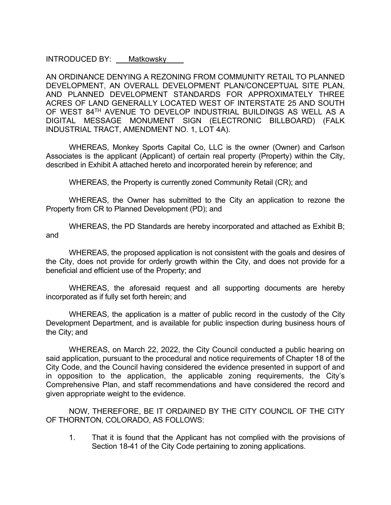INTRODUCED BY: Matkowsky

AN ORDINANCE DENYING A REZONING FROM COMMUNITY RETAIL TO PLANNED DEVELOPMENT, AN OVERALL DEVELOPMENT PLAN/CONCEPTUAL SITE PLAN, AND PLANNED DEVELOPMENT STANDARDS FOR APPROXIMATELY THREE ACRES OF LAND GENERALLY LOCATED WEST OF INTERSTATE 25 AND SOUTH OF WEST 84TH AVENUE TO DEVELOP INDUSTRIAL BUILDINGS AS WELL AS A DIGITAL MESSAGE MONUMENT SIGN (ELECTRONIC BILLBOARD) (FALK INDUSTRIAL TRACT, AMENDMENT NO. 1, LOT 4A).

WHEREAS, Monkey Sports Capital Co, LLC is the owner (Owner) and Carlson Associates is the applicant (Applicant) of certain real property (Property) within the City, described in Exhibit A attached hereto and incorporated herein by reference; and

WHEREAS, the Property is currently zoned Community Retail (CR); and

WHEREAS, the Owner has submitted to the City an application to rezone the Property from CR to Planned Development (PD); and

WHEREAS, the PD Standards are hereby incorporated and attached as Exhibit B; and

WHEREAS, the proposed application is not consistent with the goals and desires of the City, does not provide for orderly growth within the City, and does not provide for a beneficial and efficient use of the Property; and

WHEREAS, the aforesaid request and all supporting documents are hereby incorporated as if fully set forth herein; and

WHEREAS, the application is a matter of public record in the custody of the City Development Department, and is available for public inspection during business hours of the City; and

WHEREAS, on March 22, 2022, the City Council conducted a public hearing on said application, pursuant to the procedural and notice requirements of Chapter 18 of the City Code, and the Council having considered the evidence presented in support of and in opposition to the application, the applicable zoning requirements, the City's Comprehensive Plan, and staff recommendations and have considered the record and given appropriate weight to the evidence.

NOW, THEREFORE, BE IT ORDAINED BY THE CITY COUNCIL OF THE CITY OF THORNTON, COLORADO, AS FOLLOWS:

1. That it is found that the Applicant has not complied with the provisions of Section 18-41 of the City Code pertaining to zoning applications.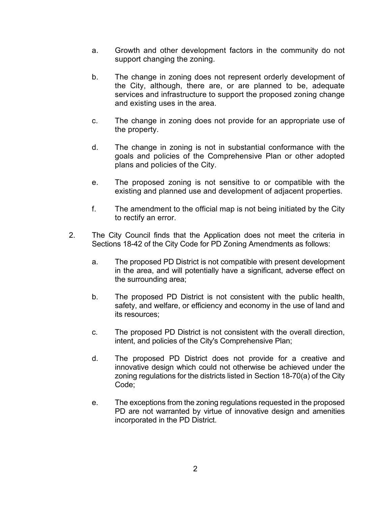- a. Growth and other development factors in the community do not support changing the zoning.
- b. The change in zoning does not represent orderly development of the City, although, there are, or are planned to be, adequate services and infrastructure to support the proposed zoning change and existing uses in the area.
- c. The change in zoning does not provide for an appropriate use of the property.
- d. The change in zoning is not in substantial conformance with the goals and policies of the Comprehensive Plan or other adopted plans and policies of the City.
- e. The proposed zoning is not sensitive to or compatible with the existing and planned use and development of adjacent properties.
- f. The amendment to the official map is not being initiated by the City to rectify an error.
- 2. The City Council finds that the Application does not meet the criteria in Sections 18-42 of the City Code for PD Zoning Amendments as follows:
	- a. The proposed PD District is not compatible with present development in the area, and will potentially have a significant, adverse effect on the surrounding area;
	- b. The proposed PD District is not consistent with the public health, safety, and welfare, or efficiency and economy in the use of land and its resources;
	- c. The proposed PD District is not consistent with the overall direction, intent, and policies of the City's Comprehensive Plan;
	- d. The proposed PD District does not provide for a creative and innovative design which could not otherwise be achieved under the zoning regulations for the districts listed in Section 18-70(a) of the City Code;
	- e. The exceptions from the zoning regulations requested in the proposed PD are not warranted by virtue of innovative design and amenities incorporated in the PD District.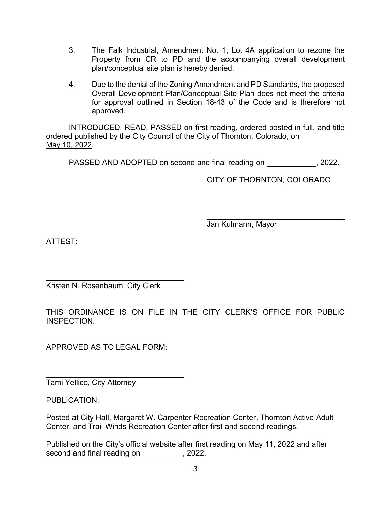- 3. The Falk Industrial, Amendment No. 1, Lot 4A application to rezone the Property from CR to PD and the accompanying overall development plan/conceptual site plan is hereby denied.
- 4. Due to the denial of the Zoning Amendment and PD Standards, the proposed Overall Development Plan/Conceptual Site Plan does not meet the criteria for approval outlined in Section 18-43 of the Code and is therefore not approved.

INTRODUCED, READ, PASSED on first reading, ordered posted in full, and title ordered published by the City Council of the City of Thornton, Colorado, on May 10, 2022.

PASSED AND ADOPTED on second and final reading on , 2022.

CITY OF THORNTON, COLORADO

Jan Kulmann, Mayor

ATTEST:

Kristen N. Rosenbaum, City Clerk

THIS ORDINANCE IS ON FILE IN THE CITY CLERK'S OFFICE FOR PUBLIC INSPECTION.

APPROVED AS TO LEGAL FORM:

Tami Yellico, City Attorney

PUBLICATION:

Posted at City Hall, Margaret W. Carpenter Recreation Center, Thornton Active Adult Center, and Trail Winds Recreation Center after first and second readings.

Published on the City's official website after first reading on May 11, 2022 and after second and final reading on \_\_\_\_\_\_\_\_\_, 2022.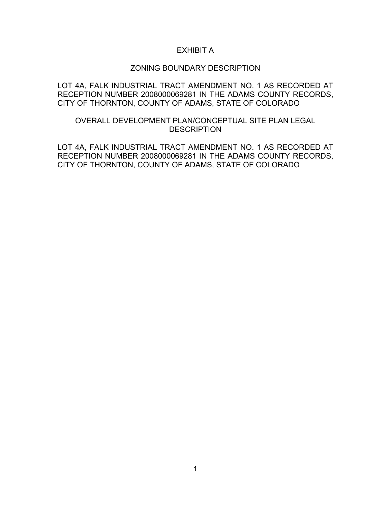#### EXHIBIT A

#### ZONING BOUNDARY DESCRIPTION

LOT 4A, FALK INDUSTRIAL TRACT AMENDMENT NO. 1 AS RECORDED AT RECEPTION NUMBER 2008000069281 IN THE ADAMS COUNTY RECORDS, CITY OF THORNTON, COUNTY OF ADAMS, STATE OF COLORADO

#### OVERALL DEVELOPMENT PLAN/CONCEPTUAL SITE PLAN LEGAL **DESCRIPTION**

LOT 4A, FALK INDUSTRIAL TRACT AMENDMENT NO. 1 AS RECORDED AT RECEPTION NUMBER 2008000069281 IN THE ADAMS COUNTY RECORDS, CITY OF THORNTON, COUNTY OF ADAMS, STATE OF COLORADO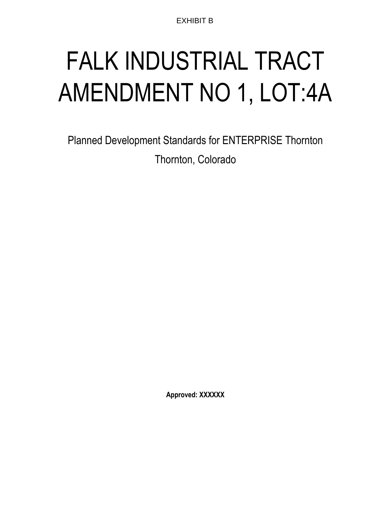EXHIBIT B

# FALK INDUSTRIAL TRACT AMENDMENT NO 1, LOT:4A

Planned Development Standards for ENTERPRISE Thornton Thornton, Colorado

**Approved: XXXXXX**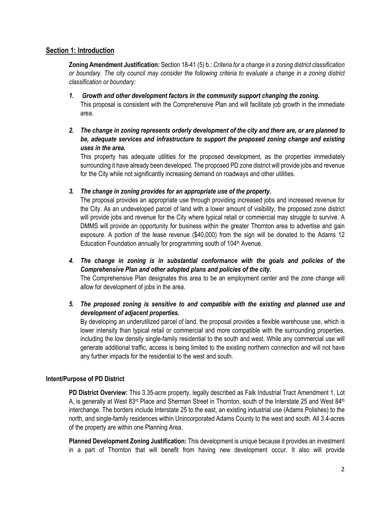#### **Section 1: Introduction**

**Zoning Amendment Justification:** Section 18-41 (5) b.: *Criteria for a change in a zoning district classification or boundary. The city council may consider the following criteria to evaluate a change in a zoning district classification or boundary:*

- *1. Growth and other development factors in the community support changing the zoning.* This proposal is consistent with the Comprehensive Plan and will facilitate job growth in the immediate area.
- *2. The change in zoning represents orderly development of the city and there are, or are planned to be, adequate services and infrastructure to support the proposed zoning change and existing uses in the area.*

This property has adequate utilities for the proposed development, as the properties immediately surrounding it have already been developed. The proposed PD zone district will provide jobs and revenue for the City while not significantly increasing demand on roadways and other utilities.

*3. The change in zoning provides for an appropriate use of the property.*

The proposal provides an appropriate use through providing increased jobs and increased revenue for the City. As an undeveloped parcel of land with a lower amount of visibility, the proposed zone district will provide jobs and revenue for the City where typical retail or commercial may struggle to survive. A DMMS will provide an opportunity for business within the greater Thornton area to advertise and gain exposure. A portion of the lease revenue (\$40,000) from the sign will be donated to the Adams 12 Education Foundation annually for programming south of 104<sup>th</sup> Avenue.

*4. The change in zoning is in substantial conformance with the goals and policies of the Comprehensive Plan and other adopted plans and policies of the city.*

The Comprehensive Plan designates this area to be an employment center and the zone change will allow for development of jobs in the area.

*5. The proposed zoning is sensitive to and compatible with the existing and planned use and development of adjacent properties.*

By developing an underutilized parcel of land, the proposal provides a flexible warehouse use, which is lower intensity than typical retail or commercial and more compatible with the surrounding properties, including the low density single-family residential to the south and west. While any commercial use will generate additional traffic, access is being limited to the existing northern connection and will not have any further impacts for the residential to the west and south.

#### **Intent/Purpose of PD District**

**PD District Overview:** This 3.35-acre property, legally described as Falk Industrial Tract Amendment 1, Lot A, is generally at West 83<sup>rd</sup> Place and Sherman Street in Thornton, south of the Interstate 25 and West 84<sup>th</sup> interchange. The borders include Interstate 25 to the east, an existing industrial use (Adams Polishes) to the north, and single-family residences within Unincorporated Adams County to the west and south. All 3.4-acres of the property are within one Planning Area.

**Planned Development Zoning Justification:** This development is unique because it provides an investment in a part of Thornton that will benefit from having new development occur. It also will provide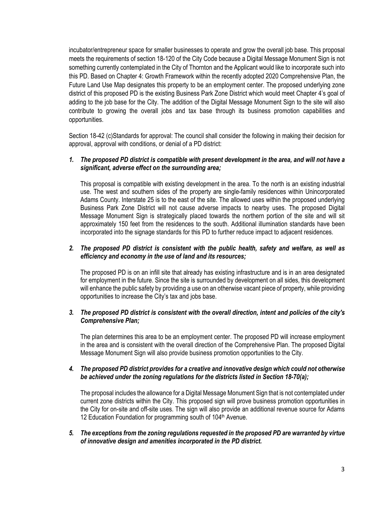incubator/entrepreneur space for smaller businesses to operate and grow the overall job base. This proposal meets the requirements of section 18-120 of the City Code because a Digital Message Monument Sign is not something currently contemplated in the City of Thornton and the Applicant would like to incorporate such into this PD. Based on Chapter 4: Growth Framework within the recently adopted 2020 Comprehensive Plan, the Future Land Use Map designates this property to be an employment center. The proposed underlying zone district of this proposed PD is the existing Business Park Zone District which would meet Chapter 4's goal of adding to the job base for the City. The addition of the Digital Message Monument Sign to the site will also contribute to growing the overall jobs and tax base through its business promotion capabilities and opportunities.

Section 18-42 (c)Standards for approval: The council shall consider the following in making their decision for approval, approval with conditions, or denial of a PD district:

#### *1. The proposed PD district is compatible with present development in the area, and will not have a significant, adverse effect on the surrounding area;*

This proposal is compatible with existing development in the area. To the north is an existing industrial use. The west and southern sides of the property are single-family residences within Unincorporated Adams County. Interstate 25 is to the east of the site. The allowed uses within the proposed underlying Business Park Zone District will not cause adverse impacts to nearby uses. The proposed Digital Message Monument Sign is strategically placed towards the northern portion of the site and will sit approximately 150 feet from the residences to the south. Additional illumination standards have been incorporated into the signage standards for this PD to further reduce impact to adjacent residences.

#### *2. The proposed PD district is consistent with the public health, safety and welfare, as well as efficiency and economy in the use of land and its resources;*

The proposed PD is on an infill site that already has existing infrastructure and is in an area designated for employment in the future. Since the site is surrounded by development on all sides, this development will enhance the public safety by providing a use on an otherwise vacant piece of property, while providing opportunities to increase the City's tax and jobs base.

#### *3. The proposed PD district is consistent with the overall direction, intent and policies of the city's Comprehensive Plan;*

The plan determines this area to be an employment center. The proposed PD will increase employment in the area and is consistent with the overall direction of the Comprehensive Plan. The proposed Digital Message Monument Sign will also provide business promotion opportunities to the City.

#### *4. The proposed PD district provides for a creative and innovative design which could not otherwise be achieved under the zoning regulations for the districts listed in Section 18-70(a);*

The proposal includes the allowance for a Digital Message Monument Sign that is not contemplated under current zone districts within the City. This proposed sign will prove business promotion opportunities in the City for on-site and off-site uses. The sign will also provide an additional revenue source for Adams 12 Education Foundation for programming south of 104<sup>th</sup> Avenue.

*5. The exceptions from the zoning regulations requested in the proposed PD are warranted by virtue of innovative design and amenities incorporated in the PD district.*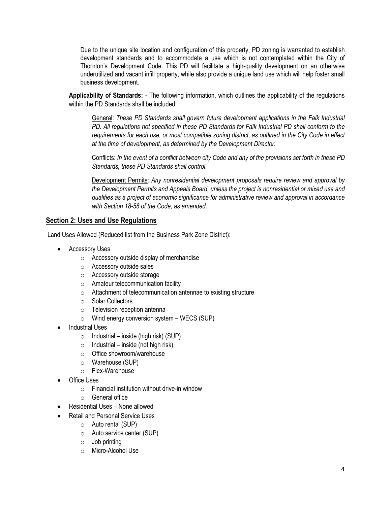Due to the unique site location and configuration of this property, PD zoning is warranted to establish development standards and to accommodate a use which is not contemplated within the City of Thornton's Development Code. This PD will facilitate a high-quality development on an otherwise underutilized and vacant infill property, while also provide a unique land use which will help foster small business development.

**Applicability of Standards:** - The following information, which outlines the applicability of the regulations within the PD Standards shall be included:

General: *These PD Standards shall govern future development applications in the Falk Industrial PD. All regulations not specified in these PD Standards for Falk Industrial PD shall conform to the requirements for each use, or most compatible zoning district, as outlined in the City Code in effect at the time of development, as determined by the Development Director.*

Conflicts: *In the event of a conflict between city Code and any of the provisions set forth in these PD Standards, these PD Standards shall control.*

Development Permits: *Any nonresidential development proposals require review and approval by the Development Permits and Appeals Board, unless the project is nonresidential or mixed use and qualifies as a project of economic significance for administrative review and approval in accordance with Section 18-58 of the Code, as amended.*

#### **Section 2: Uses and Use Regulations**

Land Uses Allowed (Reduced list from the Business Park Zone District):

- Accessory Uses
	- o Accessory outside display of merchandise
	- o Accessory outside sales
	- o Accessory outside storage
	- o Amateur telecommunication facility
	- o Attachment of telecommunication antennae to existing structure
	- o Solar Collectors
	- o Television reception antenna
	- $\circ$  Wind energy conversion system WECS (SUP)
- Industrial Uses
	- $\circ$  Industrial inside (high risk) (SUP)
	- $\circ$  Industrial inside (not high risk)
	- o Office showroom/warehouse
	- o Warehouse (SUP)
	- o Flex-Warehouse
- Office Uses
	- $\circ$  Financial institution without drive-in window
	- o General office
- Residential Uses None allowed
- Retail and Personal Service Uses
	- o Auto rental (SUP)
	- o Auto service center (SUP)
	- $\circ$  Job printing
	- o Micro-Alcohol Use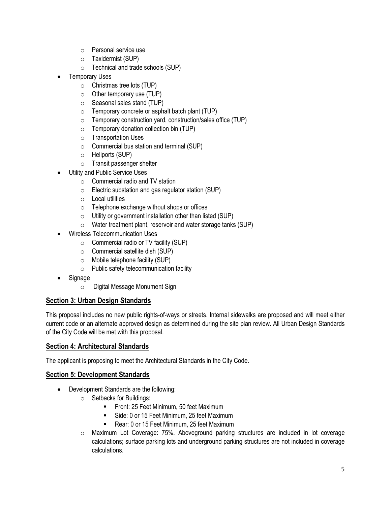- o Personal service use
- o Taxidermist (SUP)
- o Technical and trade schools (SUP)
- Temporary Uses
	- o Christmas tree lots (TUP)
	- $\circ$  Other temporary use (TUP)
	- o Seasonal sales stand (TUP)
	- o Temporary concrete or asphalt batch plant (TUP)
	- o Temporary construction yard, construction/sales office (TUP)
	- $\circ$  Temporary donation collection bin (TUP)
	- o Transportation Uses
	- $\circ$  Commercial bus station and terminal (SUP)
	- o Heliports (SUP)
	- o Transit passenger shelter
- Utility and Public Service Uses
	- o Commercial radio and TV station
	- o Electric substation and gas regulator station (SUP)
	- $\circ$  Local utilities
	- o Telephone exchange without shops or offices
	- $\circ$  Utility or government installation other than listed (SUP)
	- o Water treatment plant, reservoir and water storage tanks (SUP)
- Wireless Telecommunication Uses
	- $\circ$  Commercial radio or TV facility (SUP)
	- $\circ$  Commercial satellite dish (SUP)
	- $\circ$  Mobile telephone facility (SUP)
	- o Public safety telecommunication facility
- **Signage** 
	- o Digital Message Monument Sign

#### **Section 3: Urban Design Standards**

This proposal includes no new public rights-of-ways or streets. Internal sidewalks are proposed and will meet either current code or an alternate approved design as determined during the site plan review. All Urban Design Standards of the City Code will be met with this proposal.

#### **Section 4: Architectural Standards**

The applicant is proposing to meet the Architectural Standards in the City Code.

#### **Section 5: Development Standards**

- Development Standards are the following:
	- o Setbacks for Buildings:
		- **FILM** Front: 25 Feet Minimum, 50 feet Maximum
		- Side: 0 or 15 Feet Minimum, 25 feet Maximum
		- Rear: 0 or 15 Feet Minimum, 25 feet Maximum
	- o Maximum Lot Coverage: 75%. Aboveground parking structures are included in lot coverage calculations; surface parking lots and underground parking structures are not included in coverage calculations.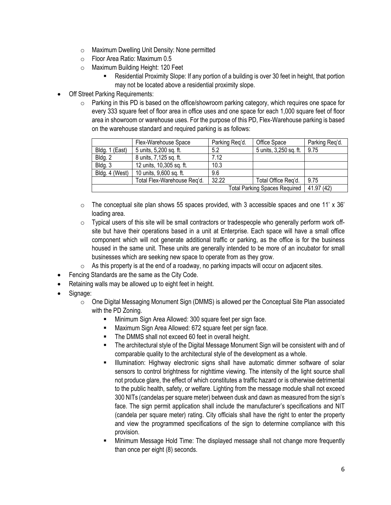- o Maximum Dwelling Unit Density: None permitted
- o Floor Area Ratio: Maximum 0.5
- o Maximum Building Height: 120 Feet
	- Residential Proximity Slope: If any portion of a building is over 30 feet in height, that portion may not be located above a residential proximity slope.
- **Off Street Parking Requirements:** 
	- $\circ$  Parking in this PD is based on the office/showroom parking category, which requires one space for every 333 square feet of floor area in office uses and one space for each 1,000 square feet of floor area in showroom or warehouse uses. For the purpose of this PD, Flex-Warehouse parking is based on the warehouse standard and required parking is as follows:

|                | Flex-Warehouse Space        | Parking Reg'd. | Office Space           | Parking Reg'd. |
|----------------|-----------------------------|----------------|------------------------|----------------|
| Bldg. 1 (East) | 5 units, 5,200 sq. ft.      | 5.2            | 5 units, 3,250 sq. ft. | 9.75           |
| Bldg. 2        | 8 units, 7,125 sq. ft.      | 7.12           |                        |                |
| Bldg. 3        | 12 units, 10,305 sq. ft.    | 10.3           |                        |                |
| Bldg. 4 (West) | 10 units, 9,600 sq. ft.     | 9.6            |                        |                |
|                | Total Flex-Warehouse Reg'd. | 32.22          | Total Office Reg'd.    | 9.75           |
|                | 41.97 (42)                  |                |                        |                |

- $\circ$  The conceptual site plan shows 55 spaces provided, with 3 accessible spaces and one 11' x 36' loading area.
- $\circ$  Typical users of this site will be small contractors or tradespeople who generally perform work offsite but have their operations based in a unit at Enterprise. Each space will have a small office component which will not generate additional traffic or parking, as the office is for the business housed in the same unit. These units are generally intended to be more of an incubator for small businesses which are seeking new space to operate from as they grow.
- $\circ$  As this property is at the end of a roadway, no parking impacts will occur on adjacent sites.
- Fencing Standards are the same as the City Code.
- Retaining walls may be allowed up to eight feet in height.
- Signage:
	- $\circ$  One Digital Messaging Monument Sign (DMMS) is allowed per the Conceptual Site Plan associated with the PD Zoning.
		- Minimum Sign Area Allowed: 300 square feet per sign face.
		- **Maximum Sign Area Allowed: 672 square feet per sign face.**
		- The DMMS shall not exceed 60 feet in overall height.
		- The architectural style of the Digital Message Monument Sign will be consistent with and of comparable quality to the architectural style of the development as a whole.
		- Illumination: Highway electronic signs shall have automatic dimmer software of solar sensors to control brightness for nighttime viewing. The intensity of the light source shall not produce glare, the effect of which constitutes a traffic hazard or is otherwise detrimental to the public health, safety, or welfare. Lighting from the message module shall not exceed 300 NITs (candelas per square meter) between dusk and dawn as measured from the sign's face. The sign permit application shall include the manufacturer's specifications and NIT (candela per square meter) rating. City officials shall have the right to enter the property and view the programmed specifications of the sign to determine compliance with this provision.
		- Minimum Message Hold Time: The displayed message shall not change more frequently than once per eight (8) seconds.